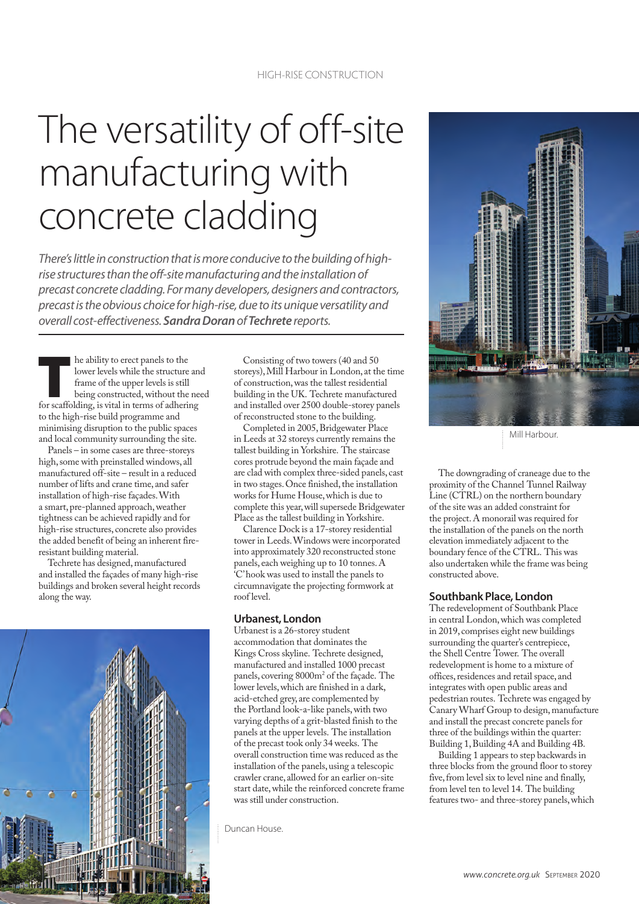# The versatility of off-site manufacturing with concrete cladding

*There's little in construction that is more conducive to the building of highrise structures than the off-site manufacturing and the installation of precast concrete cladding. For many developers, designers and contractors, precast is the obvious choice for high-rise, due to its unique versatility and overall cost-effectiveness. Sandra Doran of Techrete reports.*

The ability to erect panels to the lower levels while the structure an frame of the upper levels is still being constructed, without the net for scaffolding, is vital in terms of adhering lower levels while the structure and frame of the upper levels is still being constructed, without the need to the high-rise build programme and minimising disruption to the public spaces and local community surrounding the site.

Panels – in some cases are three-storeys high, some with preinstalled windows, all manufactured off-site – result in a reduced number of lifts and crane time, and safer installation of high-rise façades. With a smart, pre-planned approach, weather tightness can be achieved rapidly and for high-rise structures, concrete also provides the added benefit of being an inherent fireresistant building material.

Techrete has designed, manufactured and installed the façades of many high-rise buildings and broken several height records along the way.



Consisting of two towers (40 and 50 storeys), Mill Harbour in London, at the time of construction, was the tallest residential building in the UK. Techrete manufactured and installed over 2500 double-storey panels of reconstructed stone to the building.

Completed in 2005, Bridgewater Place in Leeds at 32 storeys currently remains the tallest building in Yorkshire. The staircase cores protrude beyond the main façade and are clad with complex three-sided panels, cast in two stages. Once finished, the installation works for Hume House, which is due to complete this year, will supersede Bridgewater Place as the tallest building in Yorkshire.

Clarence Dock is a 17-storey residential tower in Leeds. Windows were incorporated into approximately 320 reconstructed stone panels, each weighing up to 10 tonnes. A 'C' hook was used to install the panels to circumnavigate the projecting formwork at roof level.

## **Urbanest, London**

Urbanest is a 26-storey student accommodation that dominates the Kings Cross skyline. Techrete designed, manufactured and installed 1000 precast panels, covering 8000m<sup>2</sup> of the façade. The lower levels, which are finished in a dark, acid-etched grey, are complemented by the Portland look-a-like panels, with two varying depths of a grit-blasted finish to the panels at the upper levels. The installation of the precast took only 34 weeks. The overall construction time was reduced as the installation of the panels, using a telescopic crawler crane, allowed for an earlier on-site start date, while the reinforced concrete frame was still under construction.

Duncan House.



Mill Harbour.

The downgrading of craneage due to the proximity of the Channel Tunnel Railway Line (CTRL) on the northern boundary of the site was an added constraint for the project. A monorail was required for the installation of the panels on the north elevation immediately adjacent to the boundary fence of the CTRL. This was also undertaken while the frame was being constructed above.

#### **Southbank Place, London**

The redevelopment of Southbank Place in central London, which was completed in 2019, comprises eight new buildings surrounding the quarter's centrepiece. the Shell Centre Tower. The overall redevelopment is home to a mixture of offices, residences and retail space, and integrates with open public areas and pedestrian routes. Techrete was engaged by Canary Wharf Group to design, manufacture and install the precast concrete panels for three of the buildings within the quarter: Building 1, Building 4A and Building 4B.

Building 1 appears to step backwards in three blocks from the ground floor to storey five, from level six to level nine and finally, from level ten to level 14. The building features two- and three-storey panels, which